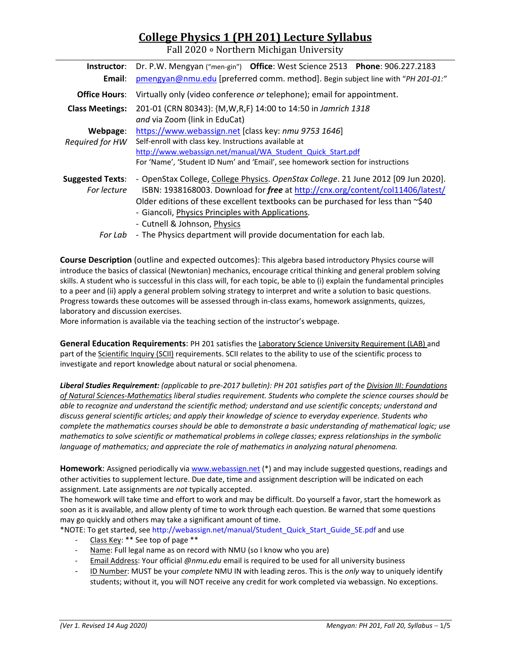# **College Physics 1 (PH 201) Lecture Syllabus**

Fall 2020 ∘ Northern Michigan University

| Instructor:             | Dr. P.W. Mengyan ("men-gin") Office: West Science 2513 Phone: 906.227.2183                       |  |  |  |  |  |
|-------------------------|--------------------------------------------------------------------------------------------------|--|--|--|--|--|
| Email:                  | pmengyan@nmu.edu [preferred comm. method]. Begin subject line with "PH 201-01:"                  |  |  |  |  |  |
| <b>Office Hours:</b>    | Virtually only (video conference or telephone); email for appointment.                           |  |  |  |  |  |
| <b>Class Meetings:</b>  | 201-01 (CRN 80343): {M, W, R, F} 14:00 to 14:50 in Jamrich 1318<br>and via Zoom (link in EduCat) |  |  |  |  |  |
| Webpage:                | https://www.webassign.net [class key: nmu 9753 1646]                                             |  |  |  |  |  |
| Required for HW         | Self-enroll with class key. Instructions available at                                            |  |  |  |  |  |
|                         | http://www.webassign.net/manual/WA Student Quick Start.pdf                                       |  |  |  |  |  |
|                         | For 'Name', 'Student ID Num' and 'Email', see homework section for instructions                  |  |  |  |  |  |
| <b>Suggested Texts:</b> | - OpenStax College, College Physics. OpenStax College. 21 June 2012 [09 Jun 2020].               |  |  |  |  |  |
| For lecture             | ISBN: 1938168003. Download for free at http://cnx.org/content/col11406/latest/                   |  |  |  |  |  |
|                         | Older editions of these excellent textbooks can be purchased for less than $\sim$ \$40           |  |  |  |  |  |
|                         | - Giancoli, Physics Principles with Applications.                                                |  |  |  |  |  |
|                         | - Cutnell & Johnson, Physics                                                                     |  |  |  |  |  |
| For Lab                 | - The Physics department will provide documentation for each lab.                                |  |  |  |  |  |

**Course Description** (outline and expected outcomes): This algebra based introductory Physics course will introduce the basics of classical (Newtonian) mechanics, encourage critical thinking and general problem solving skills. A student who is successful in this class will, for each topic, be able to (i) explain the fundamental principles to a peer and (ii) apply a general problem solving strategy to interpret and write a solution to basic questions. Progress towards these outcomes will be assessed through in‐class exams, homework assignments, quizzes, laboratory and discussion exercises.

More information is available via the teaching section of the instructor's webpage.

**General Education Requirements**: PH 201 satisfies the Laboratory Science University Requirement (LAB) and part of the Scientific Inquiry (SCII) requirements. SCII relates to the ability to use of the scientific process to investigate and report knowledge about natural or social phenomena.

*Liberal Studies Requirement: (applicable to pre‐2017 bulletin): PH 201 satisfies part of the Division III: Foundations of Natural Sciences‐Mathematics liberal studies requirement. Students who complete the science courses should be able to recognize and understand the scientific method; understand and use scientific concepts; understand and discuss general scientific articles; and apply their knowledge of science to everyday experience. Students who complete the mathematics courses should be able to demonstrate a basic understanding of mathematical logic; use mathematics to solve scientific or mathematical problems in college classes; express relationships in the symbolic language of mathematics; and appreciate the role of mathematics in analyzing natural phenomena.* 

**Homework**: Assigned periodically via www.webassign.net (\*) and may include suggested questions, readings and other activities to supplement lecture. Due date, time and assignment description will be indicated on each assignment. Late assignments are *not* typically accepted.

The homework will take time and effort to work and may be difficult. Do yourself a favor, start the homework as soon as it is available, and allow plenty of time to work through each question. Be warned that some questions may go quickly and others may take a significant amount of time.

\*NOTE: To get started, see http://webassign.net/manual/Student\_Quick\_Start\_Guide\_SE.pdf and use

- ‐ Class Key: \*\* See top of page \*\*
- Name: Full legal name as on record with NMU (so I know who you are)
- ‐ Email Address: Your official *@nmu.edu* email is required to be used for all university business
- ‐ ID Number: MUST be your *complete* NMU IN with leading zeros. This is the *only* way to uniquely identify students; without it, you will NOT receive any credit for work completed via webassign. No exceptions.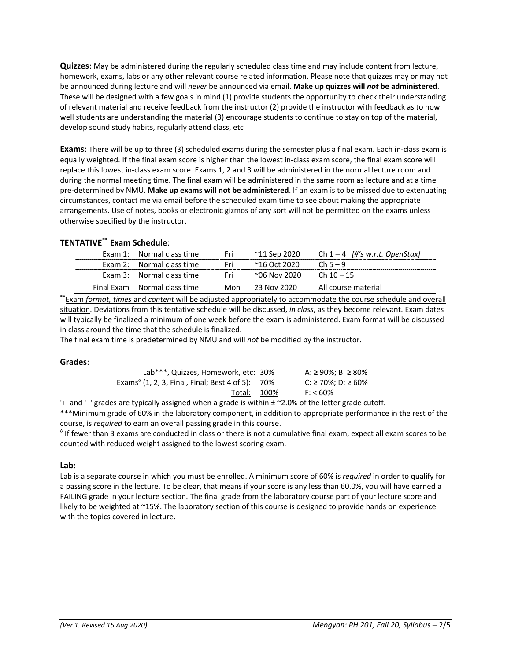**Quizzes**: May be administered during the regularly scheduled class time and may include content from lecture, homework, exams, labs or any other relevant course related information. Please note that quizzes may or may not be announced during lecture and will *never* be announced via email. **Make up quizzes will** *not* **be administered**. These will be designed with a few goals in mind (1) provide students the opportunity to check their understanding of relevant material and receive feedback from the instructor (2) provide the instructor with feedback as to how well students are understanding the material (3) encourage students to continue to stay on top of the material, develop sound study habits, regularly attend class, etc

**Exams**: There will be up to three (3) scheduled exams during the semester plus a final exam. Each in‐class exam is equally weighted. If the final exam score is higher than the lowest in‐class exam score, the final exam score will replace this lowest in‐class exam score. Exams 1, 2 and 3 will be administered in the normal lecture room and during the normal meeting time. The final exam will be administered in the same room as lecture and at a time pre‐determined by NMU. **Make up exams will not be administered**. If an exam is to be missed due to extenuating circumstances, contact me via email before the scheduled exam time to see about making the appropriate arrangements. Use of notes, books or electronic gizmos of any sort will not be permitted on the exams unless otherwise specified by the instructor.

## **TENTATIVE\*\* Exam Schedule**:

| Exam 1: Normal class time    | Fri. | ~11 Sep 2020 | Ch $1-4$ [#'s w.r.t. OpenStax]                                                                                                                                                                                                     |
|------------------------------|------|--------------|------------------------------------------------------------------------------------------------------------------------------------------------------------------------------------------------------------------------------------|
| Exam 2: Normal class time    | Fri  | ~16 Oct 2020 | $ch5-9$                                                                                                                                                                                                                            |
| Exam 3: Normal class time    | Fri  | ~06 Nov 2020 | Ch 10 – 15                                                                                                                                                                                                                         |
| Final Exam Normal class time | Mon  | 23 Nov 2020  | All course material                                                                                                                                                                                                                |
|                              |      |              | $\mathcal{L}$ . The set of the set of the set of the set of the set of the set of the set of the set of the set of the set of the set of the set of the set of the set of the set of the set of the set of the set of the set of t |

**\*\***Exam *format, times* and *content* will be adjusted appropriately to accommodate the course schedule and overall situation. Deviations from this tentative schedule will be discussed, *in class*, as they become relevant. Exam dates will typically be finalized a minimum of one week before the exam is administered. Exam format will be discussed in class around the time that the schedule is finalized.

The final exam time is predetermined by NMU and will *not* be modified by the instructor.

## **Grades**:

| Lab***, Quizzes, Homework, etc: 30%                                           |      | A: ≥ 90%; B: ≥ 80% |
|-------------------------------------------------------------------------------|------|--------------------|
| Exams <sup><math>\circ</math></sup> (1, 2, 3, Final, Final; Best 4 of 5): 70% |      | C: ≥ 70%; D: ≥ 60% |
| Total:                                                                        | 100% | F: 60%             |

'+' and '−' grades are typically assigned when a grade is within ± ~2.0% of the letter grade cutoff.

**\*\*\***Minimum grade of 60% in the laboratory component, in addition to appropriate performance in the rest of the course, is *required* to earn an overall passing grade in this course.

 $\textdegree$  If fewer than 3 exams are conducted in class or there is not a cumulative final exam, expect all exam scores to be counted with reduced weight assigned to the lowest scoring exam.

## **Lab:**

Lab is a separate course in which you must be enrolled. A minimum score of 60% is *required* in order to qualify for a passing score in the lecture. To be clear, that means if your score is any less than 60.0%, you will have earned a FAILING grade in your lecture section. The final grade from the laboratory course part of your lecture score and likely to be weighted at ~15%. The laboratory section of this course is designed to provide hands on experience with the topics covered in lecture.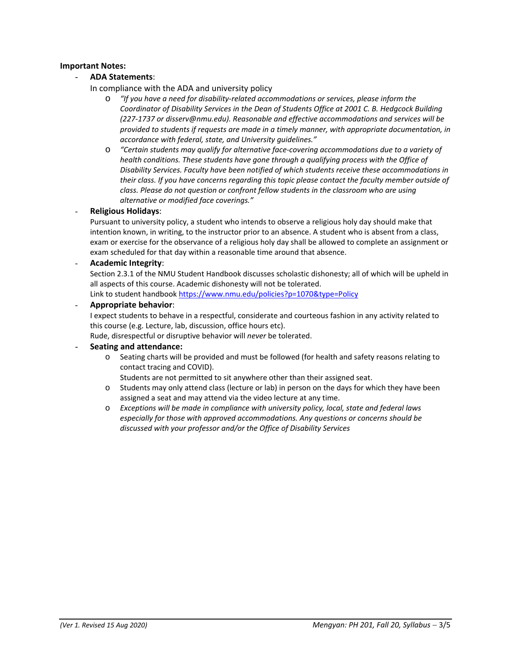## **Important Notes:**

# - **ADA Statements**:

- In compliance with the ADA and university policy
	- o *"If you have a need for disability‐related accommodations or services, please inform the Coordinator of Disability Services in the Dean of Students Office at 2001 C. B. Hedgcock Building (227‐1737 or disserv@nmu.edu). Reasonable and effective accommodations and services will be provided to students if requests are made in a timely manner, with appropriate documentation, in accordance with federal, state, and University guidelines."*
	- o *"Certain students may qualify for alternative face‐covering accommodations due to a variety of health conditions. These students have gone through a qualifying process with the Office of Disability Services. Faculty have been notified of which students receive these accommodations in their class. If you have concerns regarding this topic please contact the faculty member outside of class. Please do not question or confront fellow students in the classroom who are using alternative or modified face coverings."*

## - **Religious Holidays**:

Pursuant to university policy, a student who intends to observe a religious holy day should make that intention known, in writing, to the instructor prior to an absence. A student who is absent from a class, exam or exercise for the observance of a religious holy day shall be allowed to complete an assignment or exam scheduled for that day within a reasonable time around that absence.

- **Academic Integrity**:

Section 2.3.1 of the NMU Student Handbook discusses scholastic dishonesty; all of which will be upheld in all aspects of this course. Academic dishonesty will not be tolerated.

Link to student handbook https://www.nmu.edu/policies?p=1070&type=Policy

## - **Appropriate behavior**:

I expect students to behave in a respectful, considerate and courteous fashion in any activity related to this course (e.g. Lecture, lab, discussion, office hours etc).

Rude, disrespectful or disruptive behavior will *never* be tolerated.

## - **Seating and attendance:**

o Seating charts will be provided and must be followed (for health and safety reasons relating to contact tracing and COVID).

Students are not permitted to sit anywhere other than their assigned seat.

- o Students may only attend class (lecture or lab) in person on the days for which they have been assigned a seat and may attend via the video lecture at any time.
- o *Exceptions will be made in compliance with university policy, local, state and federal laws especially for those with approved accommodations. Any questions or concerns should be discussed with your professor and/or the Office of Disability Services*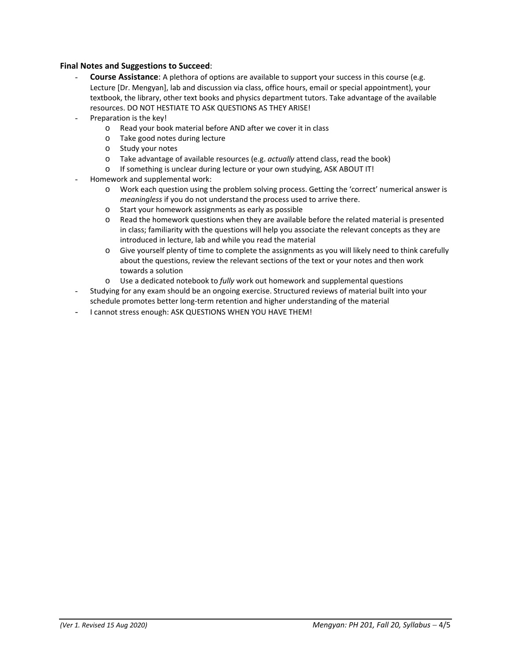## **Final Notes and Suggestions to Succeed**:

- **Course Assistance**: A plethora of options are available to support your success in this course (e.g. Lecture [Dr. Mengyan], lab and discussion via class, office hours, email or special appointment), your textbook, the library, other text books and physics department tutors. Take advantage of the available resources. DO NOT HESTIATE TO ASK QUESTIONS AS THEY ARISE!
- Preparation is the key!
	- o Read your book material before AND after we cover it in class
	- o Take good notes during lecture
	- o Study your notes
	- o Take advantage of available resources (e.g. *actually* attend class, read the book)
	- o If something is unclear during lecture or your own studying, ASK ABOUT IT!
- Homework and supplemental work:
	- o Work each question using the problem solving process. Getting the 'correct' numerical answer is *meaningless* if you do not understand the process used to arrive there.
	- o Start your homework assignments as early as possible
	- o Read the homework questions when they are available before the related material is presented in class; familiarity with the questions will help you associate the relevant concepts as they are introduced in lecture, lab and while you read the material
	- o Give yourself plenty of time to complete the assignments as you will likely need to think carefully about the questions, review the relevant sections of the text or your notes and then work towards a solution
	- o Use a dedicated notebook to *fully* work out homework and supplemental questions
- Studying for any exam should be an ongoing exercise. Structured reviews of material built into your schedule promotes better long‐term retention and higher understanding of the material
- I cannot stress enough: ASK QUESTIONS WHEN YOU HAVE THEM!